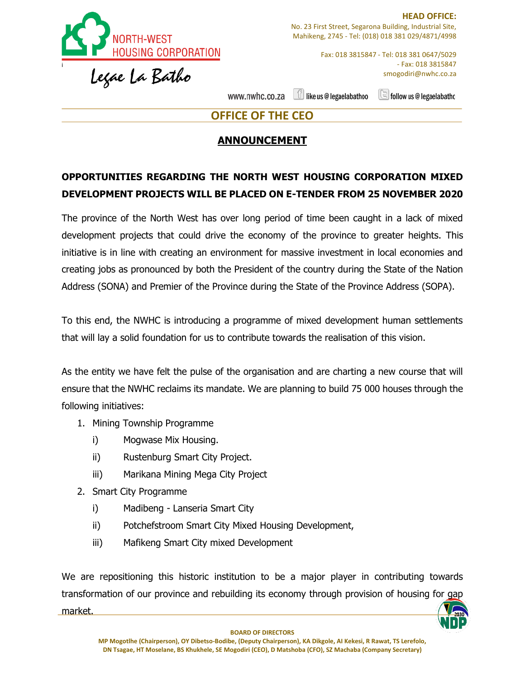

Fax: 018 3815847 - Tel: 018 381 0647/5029 - Fax: 018 3815847 smogodiri@nwhc.co.za

like us @ legaelabathoo www.nwhc.co.za

 $\Box$  follow us @ legaelabatho

## **OFFICE OF THE CEO**

## **ANNOUNCEMENT**

## **OPPORTUNITIES REGARDING THE NORTH WEST HOUSING CORPORATION MIXED DEVELOPMENT PROJECTS WILL BE PLACED ON E-TENDER FROM 25 NOVEMBER 2020**

The province of the North West has over long period of time been caught in a lack of mixed development projects that could drive the economy of the province to greater heights. This initiative is in line with creating an environment for massive investment in local economies and creating jobs as pronounced by both the President of the country during the State of the Nation Address (SONA) and Premier of the Province during the State of the Province Address (SOPA).

To this end, the NWHC is introducing a programme of mixed development human settlements that will lay a solid foundation for us to contribute towards the realisation of this vision.

As the entity we have felt the pulse of the organisation and are charting a new course that will ensure that the NWHC reclaims its mandate. We are planning to build 75 000 houses through the following initiatives:

- 1. Mining Township Programme
	- i) Mogwase Mix Housing.
	- ii) Rustenburg Smart City Project.
	- iii) Marikana Mining Mega City Project
- 2. Smart City Programme
	- i) Madibeng Lanseria Smart City
	- ii) Potchefstroom Smart City Mixed Housing Development,
	- iii) Mafikeng Smart City mixed Development

We are repositioning this historic institution to be a major player in contributing towards transformation of our province and rebuilding its economy through provision of housing for gap market.